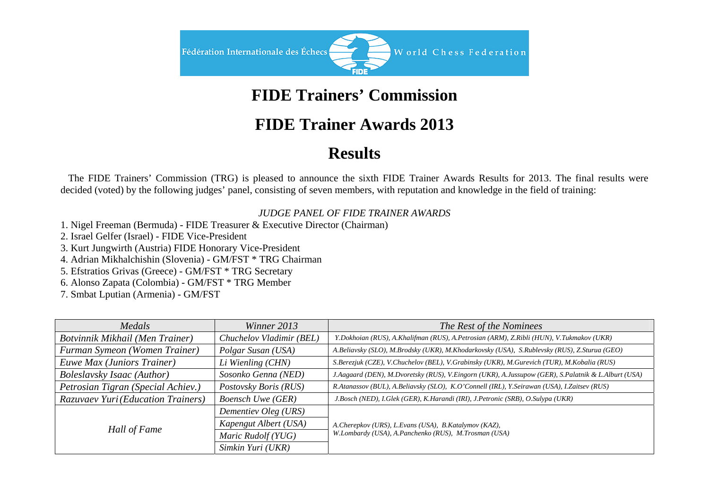

# **FIDE Trainers' Commission**

### **FIDE Trainer Awards 2013**

# **Results**

 The FIDE Trainers' Commission (TRG) is pleased to announce the sixth FIDE Trainer Awards Results for 2013. The final results were decided (voted) by the following judges' panel, consisting of seven members, with reputation and knowledge in the field of training:

#### *JUDGE PANEL OF FIDE TRAINER AWARDS*

1. Nigel Freeman (Bermuda) - FIDE Treasurer & Executive Director (Chairman)

2. Israel Gelfer (Israel) - FIDE Vice-President

3. Kurt Jungwirth (Austria) FIDE Honorary Vice-President

4. Adrian Mikhalchishin (Slovenia) - GM/FST \* TRG Chairman

5. Efstratios Grivas (Greece) - GM/FST \* TRG Secretary

6. Alonso Zapata (Colombia) - GM/FST \* TRG Member

7. Smbat Lputian (Armenia) - GM/FST

| Medals                             | Winner 2013              | The Rest of the Nominees                                                                                     |  |
|------------------------------------|--------------------------|--------------------------------------------------------------------------------------------------------------|--|
| Botvinnik Mikhail (Men Trainer)    | Chuchelov Vladimir (BEL) | Y.Dokhoian (RUS), A.Khalifman (RUS), A.Petrosian (ARM), Z.Ribli (HUN), V.Tukmakov (UKR)                      |  |
| Furman Symeon (Women Trainer)      | Polgar Susan (USA)       | A.Beliavsky (SLO), M.Brodsky (UKR), M.Khodarkovsky (USA), S.Rublevsky (RUS), Z.Sturua (GEO)                  |  |
| Euwe Max (Juniors Trainer)         | Li Wienling (CHN)        | S.Berezjuk (CZE), V.Chuchelov (BEL), V.Grabinsky (UKR), M.Gurevich (TUR), M.Kobalia (RUS)                    |  |
| <b>Boleslavsky Isaac (Author)</b>  | Sosonko Genna (NED)      | J.Aagaard (DEN), M.Dvoretsky (RUS), V.Eingorn (UKR), A.Jussupow (GER), S.Palatnik & L.Alburt (USA)           |  |
| Petrosian Tigran (Special Achiev.) | Postovsky Boris (RUS)    | R.Atanassov (BUL), A.Beliavsky (SLO), K.O'Connell (IRL), Y.Seirawan (USA), I.Zaitsev (RUS)                   |  |
| Razuvaev Yuri (Education Trainers) | <b>Boensch Uwe (GER)</b> | J.Bosch (NED), I.Glek (GER), K.Harandi (IRI), J.Petronic (SRB), O.Sulypa (UKR)                               |  |
| Hall of Fame                       | Dementiev Oleg (URS)     | A.Cherepkov (URS), L.Evans (USA), B.Katalymov (KAZ),<br>W.Lombardy (USA), A.Panchenko (RUS), M.Trosman (USA) |  |
|                                    | Kapengut Albert (USA)    |                                                                                                              |  |
|                                    | Maric Rudolf (YUG)       |                                                                                                              |  |
|                                    | Simkin Yuri (UKR)        |                                                                                                              |  |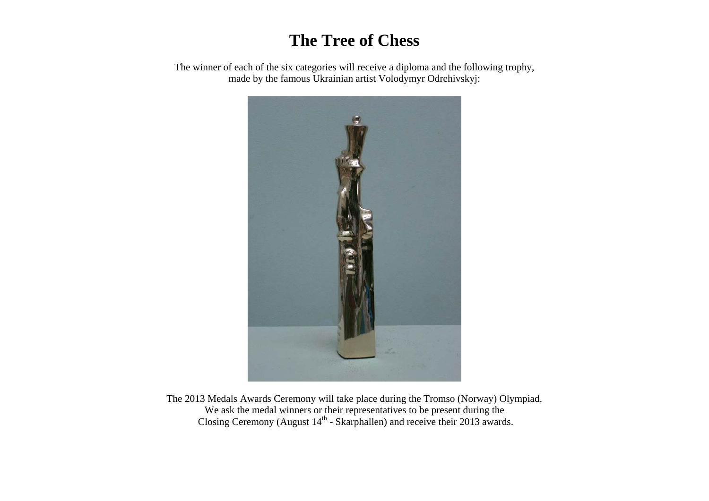### **The Tree of Chess**

The winner of each of the six categories will receive a diploma and the following trophy, made by the famous Ukrainian artist Volodymyr Odrehivskyj:



The 2013 Medals Awards Ceremony will take place during the Tromso (Norway) Olympiad. We ask the medal winners or their representatives to be present during the Closing Ceremony (August  $14<sup>th</sup>$  - Skarphallen) and receive their 2013 awards.